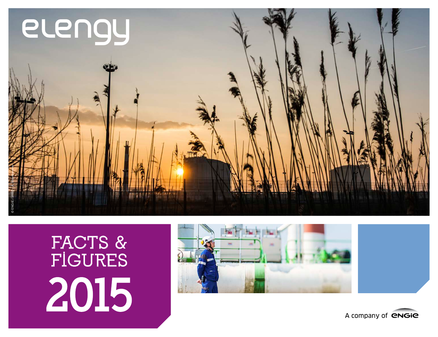

# **FACTS & FIGURES** 2015



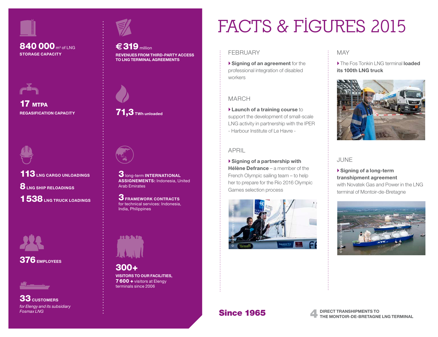

## 840 000 m<sup>3</sup> of LNG



17 мтрл **REGASIFICATION CAPACITY**



113**LNG CARGO UNLOADINGS** 8**LNG SHIP RELOADINGS**  1538**LNG TRUCK LOADINGS**





33 **CUSTOMERS** *for Elengy and its subsidiary Fosmax LNG*



€ 319 million **REVENUES FROM THIRD-PARTY ACCESS STORAGE CAPACITY** FEBRUARY **TO LNG TERMINAL AGREEMENTS**



71,3**TWh unloaded**



3long-term **INTERNATIONAL ASSIGNEMENTS:** Indonesia, United Arab Emirates

3**FRAMEWORK CONTRACTS** for technical services: Indonesia, India, Philippines



300+ **VISITORS TO OUR FACILITIES,** 7600 + visitors at Elengy terminals since 2006

# **FACTS & FIGURES 2015**

**Signing of an agreement** for the professional integration of disabled workers

### MARCH

**Launch of a training course** to support the development of small-scale LNG activity in partnership with the IPER - Harbour Institute of Le Havre -

### APRIL

**Signing of a partnership with Hélène Defrance** – a member of the French Olympic sailing team – to help her to prepare for the Rio 2016 Olympic Games selection process



### MAY

 The Fos Tonkin LNG terminal **loaded its 100th LNG truck**



### JUNE

### **Signing of a long-term transhipment agreement** with Novatek Gas and Power in the LNG

terminal of Montoir-de-Bretagne

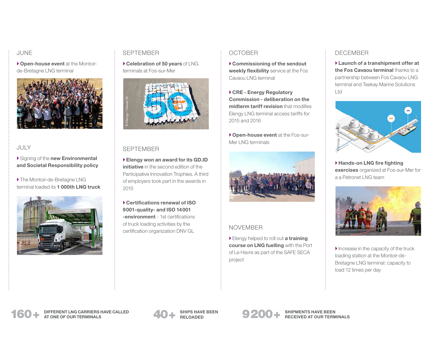### JUNE

**Open-house event** at the Montoirde-Bretagne LNG terminal



### JULY

Signing of the **new Environmental and Societal Responsibility policy**

 The Montoir-de-Bretagne LNG terminal loaded its **1 000th LNG truck**



### SEPTEMBER

**Celebration of 50 years** of LNG terminals at Fos-sur-Mer



### **SEPTEMBER**

**Elengy won an award for its GD.ID initiative** in the second edition of the Participative Innovation Trophies. A third of employers took part in the awards in 2015

**Certifications renewal of ISO 9001-quality- and ISO 14001 -environment** - 1st certifications of truck loading activities by the certification organization DNV GL

### OCTOBER

**Commissioning of the sendout weekly flexibility** service at the Fos Cavaou LNG terminal

**CRE - Energy Regulatory Commission - deliberation on the midterm tariff revision** that modifies Elengy LNG terminal access tariffs for 2015 and 2016

**Open-house event** at the Fos-sur-Mer LNG terminals



### NOVEMBER

Elengy helped to roll out **a training course on LNG fuelling** with the Port of Le Havre as part of the SAFE SECA project

### DECEMBER

**Launch of a transhipment offer at the Fos Cavaou terminal** thanks to a partnership between Fos Cavaou LNG terminal and Teekay Marine Solutions Ltd



**Hands-on LNG fire fighting exercises** organized at Fos-sur-Mer for a a Petronet LNG team



 $\blacktriangleright$  Increase in the capacity of the truck loading station at the Montoir-de-Bretagne LNG terminal: capacity to load 12 times per day